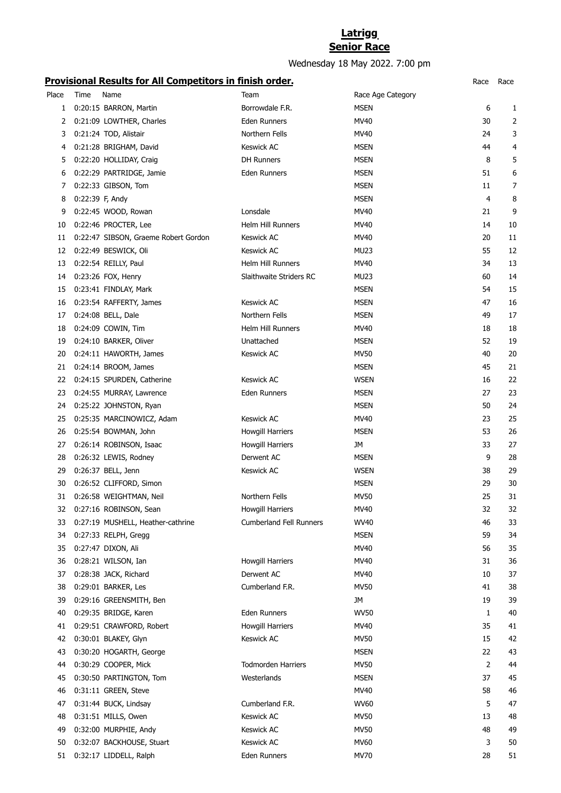## **Latrigg Senior Race**

Wednesday 18 May 2022. 7:00 pm

## **Provisional Results for All Competitors in finish order.** Race Race

|       |                 | <u>Frovisional Results for Air Competitors in Impirational .</u> |                         |                   | nace | nacc           |
|-------|-----------------|------------------------------------------------------------------|-------------------------|-------------------|------|----------------|
| Place | Time            | Name                                                             | Team                    | Race Age Category |      |                |
| 1     |                 | 0:20:15 BARRON, Martin                                           | Borrowdale F.R.         | <b>MSEN</b>       | 6    | 1              |
| 2     |                 | 0:21:09 LOWTHER, Charles                                         | Eden Runners            | MV40              | 30   | $\overline{2}$ |
| 3     |                 | 0:21:24 TOD, Alistair                                            | Northern Fells          | MV40              | 24   | 3              |
| 4     |                 | 0:21:28 BRIGHAM, David                                           | <b>Keswick AC</b>       | <b>MSEN</b>       | 44   | 4              |
| 5     |                 | 0:22:20 HOLLIDAY, Craig                                          | <b>DH Runners</b>       | <b>MSEN</b>       | 8    | 5              |
| 6     |                 | 0:22:29 PARTRIDGE, Jamie                                         | Eden Runners            | <b>MSEN</b>       | 51   | 6              |
| 7     |                 | 0:22:33 GIBSON, Tom                                              |                         | <b>MSEN</b>       | 11   | 7              |
| 8     | 0:22:39 F, Andy |                                                                  |                         | <b>MSEN</b>       | 4    | 8              |
| 9     |                 | 0:22:45 WOOD, Rowan                                              | Lonsdale                | MV40              | 21   | 9              |
| 10    |                 | 0:22:46 PROCTER, Lee                                             | Helm Hill Runners       | MV40              | 14   | 10             |
| 11    |                 | 0:22:47 SIBSON, Graeme Robert Gordon                             | <b>Keswick AC</b>       | MV40              | 20   | 11             |
| 12    |                 | 0:22:49 BESWICK, Oli                                             | <b>Keswick AC</b>       | <b>MU23</b>       | 55   | 12             |
| 13    |                 | 0:22:54 REILLY, Paul                                             | Helm Hill Runners       | MV40              | 34   | 13             |
| 14    |                 | 0:23:26 FOX, Henry                                               | Slaithwaite Striders RC | <b>MU23</b>       | 60   | 14             |
| 15    |                 | 0:23:41 FINDLAY, Mark                                            |                         | <b>MSEN</b>       | 54   | 15             |
| 16    |                 | 0:23:54 RAFFERTY, James                                          | <b>Keswick AC</b>       | <b>MSEN</b>       | 47   | 16             |
| 17    |                 | 0:24:08 BELL, Dale                                               | Northern Fells          | <b>MSEN</b>       | 49   | 17             |
| 18    |                 | 0:24:09 COWIN, Tim                                               | Helm Hill Runners       | MV40              | 18   | 18             |
| 19    |                 | 0:24:10 BARKER, Oliver                                           | Unattached              | <b>MSEN</b>       | 52   | 19             |
| 20    |                 | 0:24:11 HAWORTH, James                                           | Keswick AC              | <b>MV50</b>       | 40   | 20             |
| 21    |                 | 0:24:14 BROOM, James                                             |                         | <b>MSEN</b>       | 45   | 21             |
| 22    |                 | 0:24:15 SPURDEN, Catherine                                       | <b>Keswick AC</b>       | <b>WSEN</b>       | 16   | 22             |
| 23    |                 | 0:24:55 MURRAY, Lawrence                                         | Eden Runners            | <b>MSEN</b>       | 27   | 23             |
| 24    |                 | 0:25:22 JOHNSTON, Ryan                                           |                         | <b>MSEN</b>       | 50   | 24             |
| 25    |                 | 0:25:35 MARCINOWICZ, Adam                                        | <b>Keswick AC</b>       | MV40              | 23   | 25             |
| 26    |                 | 0:25:54 BOWMAN, John                                             | Howgill Harriers        | <b>MSEN</b>       | 53   | 26             |
| 27    |                 | 0:26:14 ROBINSON, Isaac                                          | Howgill Harriers        | JМ                | 33   | 27             |
| 28    |                 | 0:26:32 LEWIS, Rodney                                            | Derwent AC              | <b>MSEN</b>       | 9    | 28             |
| 29    |                 | 0:26:37 BELL, Jenn                                               | <b>Keswick AC</b>       | <b>WSEN</b>       | 38   | 29             |
| 30    |                 | 0:26:52 CLIFFORD, Simon                                          |                         | <b>MSEN</b>       | 29   | 30             |
| 31    |                 | 0:26:58 WEIGHTMAN, Neil                                          | Northern Fells          | <b>MV50</b>       | 25   | 31             |
| 32    |                 | 0:27:16 ROBINSON, Sean                                           | <b>Howgill Harriers</b> | MV40              | 32   | 32             |
| 33    |                 | 0:27:19 MUSHELL, Heather-cathrine                                | Cumberland Fell Runners | <b>WV40</b>       | 46   | 33             |
| 34    |                 | 0:27:33 RELPH, Gregg                                             |                         | <b>MSEN</b>       | 59   | 34             |
| 35    |                 | 0:27:47 DIXON, Ali                                               |                         | MV40              | 56   | 35             |
| 36    |                 | 0:28:21 WILSON, Ian                                              | <b>Howgill Harriers</b> | MV40              | 31   | 36             |
| 37    |                 | 0:28:38 JACK, Richard                                            | Derwent AC              | MV40              | 10   | 37             |
| 38    |                 | 0:29:01 BARKER, Les                                              | Cumberland F.R.         | <b>MV50</b>       | 41   | 38             |
| 39    |                 | 0:29:16 GREENSMITH, Ben                                          |                         | <b>JM</b>         | 19   | 39             |
| 40    |                 | 0:29:35 BRIDGE, Karen                                            | Eden Runners            | <b>WV50</b>       | 1    | 40             |
| 41    |                 | 0:29:51 CRAWFORD, Robert                                         | <b>Howgill Harriers</b> | MV40              | 35   | 41             |
| 42    |                 | 0:30:01 BLAKEY, Glyn                                             | Keswick AC              | MV50              | 15   | 42             |
| 43    |                 | 0:30:20 HOGARTH, George                                          |                         | <b>MSEN</b>       | 22   | 43             |
| 44    |                 | 0:30:29 COOPER, Mick                                             | Todmorden Harriers      | <b>MV50</b>       | 2    | 44             |
| 45    |                 | 0:30:50 PARTINGTON, Tom                                          | Westerlands             | <b>MSEN</b>       | 37   | 45             |
| 46    |                 | 0:31:11 GREEN, Steve                                             |                         | MV40              | 58   | 46             |
| 47    |                 | 0:31:44 BUCK, Lindsay                                            | Cumberland F.R.         | <b>WV60</b>       | 5    | 47             |
| 48    |                 | 0:31:51 MILLS, Owen                                              | <b>Keswick AC</b>       | <b>MV50</b>       | 13   | 48             |
| 49    |                 | 0:32:00 MURPHIE, Andy                                            | <b>Keswick AC</b>       | <b>MV50</b>       | 48   | 49             |
| 50    |                 | 0:32:07 BACKHOUSE, Stuart                                        | Keswick AC              | <b>MV60</b>       | 3    | 50             |
| 51    |                 | 0:32:17 LIDDELL, Ralph                                           | Eden Runners            | <b>MV70</b>       | 28   | 51             |
|       |                 |                                                                  |                         |                   |      |                |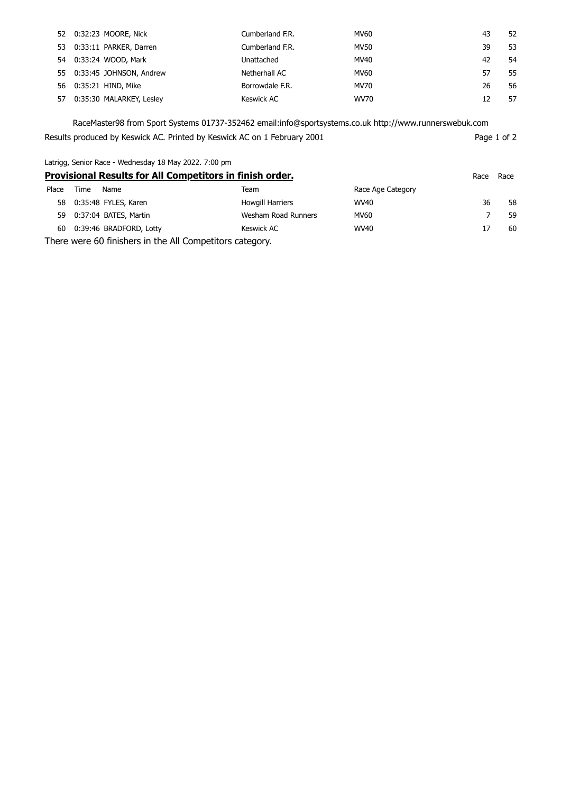| 52 0:32:23 MOORE, Nick      | Cumberland F.R. | MV60        | 43 | 52 |
|-----------------------------|-----------------|-------------|----|----|
| 53 0:33:11 PARKER, Darren   | Cumberland F.R. | <b>MV50</b> | 39 | 53 |
| 54 0:33:24 WOOD, Mark       | Unattached      | MV40        | 42 | 54 |
| 55 0:33:45 JOHNSON, Andrew  | Netherhall AC   | MV60        | 57 | 55 |
| 56 0:35:21 HIND, Mike       | Borrowdale F.R. | MV70        | 26 | 56 |
| 57 0:35:30 MALARKEY, Lesley | Keswick AC      | WV70        |    | 57 |

RaceMaster98 from Sport Systems 01737-352462 email:info@sportsystems.co.uk http://www.runnerswebuk.com Results produced by Keswick AC. Printed by Keswick AC on 1 February 2001 Page 1 of 2

Latrigg, Senior Race - Wednesday 18 May 2022. 7:00 pm

| Provisional Results for All Competitors in finish order. |      |                         |                         | Race              | Race |    |
|----------------------------------------------------------|------|-------------------------|-------------------------|-------------------|------|----|
| Place                                                    | Time | Name                    | Team                    | Race Age Category |      |    |
| 58                                                       |      | 0:35:48 FYLES, Karen    | <b>Howgill Harriers</b> | <b>WV40</b>       | 36   | 58 |
| 59                                                       |      | 0:37:04 BATES, Martin   | Wesham Road Runners     | MV60              |      | 59 |
| 60                                                       |      | 0:39:46 BRADFORD, Lotty | Keswick AC              | WV40              | 17   | 60 |

There were 60 finishers in the All Competitors category.